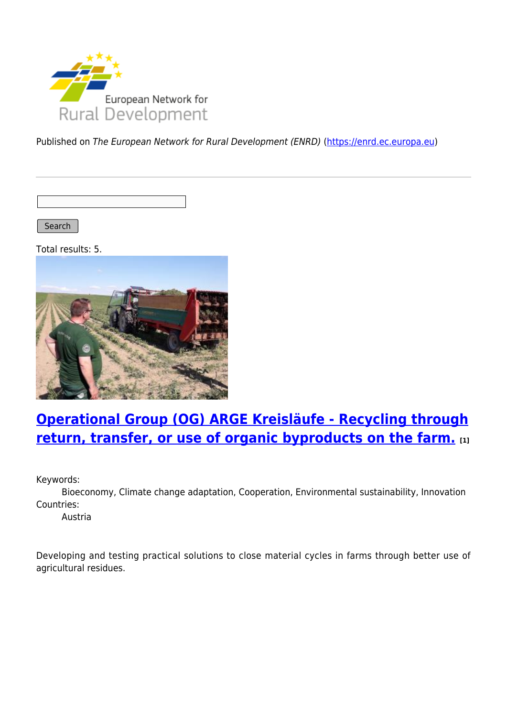

Published on The European Network for Rural Development (ENRD) [\(https://enrd.ec.europa.eu](https://enrd.ec.europa.eu))

Search |

Total results: 5.



## **[Operational Group \(OG\) ARGE Kreisläufe - Recycling through](https://enrd.ec.europa.eu/projects-practice/operational-group-og-arge-kreislaufe-recycling-through-return-transfer-or-use_en) [return, transfer, or use of organic byproducts on the farm.](https://enrd.ec.europa.eu/projects-practice/operational-group-og-arge-kreislaufe-recycling-through-return-transfer-or-use_en) [1]**

Keywords:

Bioeconomy, Climate change adaptation, Cooperation, Environmental sustainability, Innovation Countries:

Austria

Developing and testing practical solutions to close material cycles in farms through better use of agricultural residues.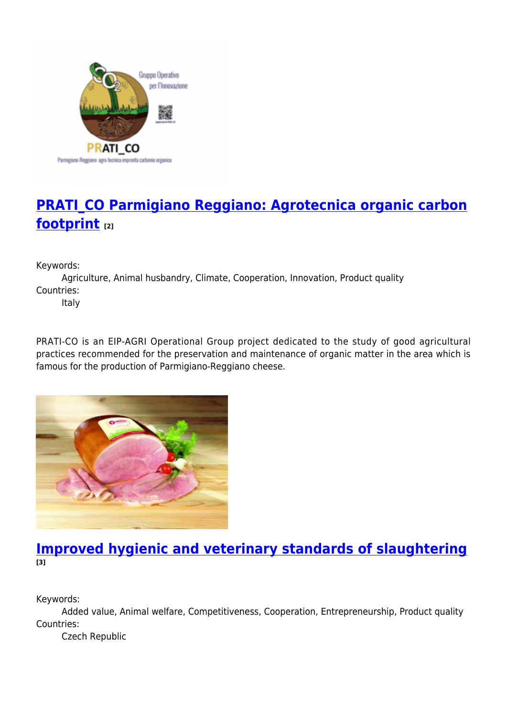

# **[PRATI\\_CO Parmigiano Reggiano: Agrotecnica organic carbon](https://enrd.ec.europa.eu/projects-practice/pratico-parmigiano-reggiano-agrotecnica-organic-carbon-footprint_en) [footprint](https://enrd.ec.europa.eu/projects-practice/pratico-parmigiano-reggiano-agrotecnica-organic-carbon-footprint_en) [2]**

Keywords:

Agriculture, Animal husbandry, Climate, Cooperation, Innovation, Product quality Countries:

Italy

PRATI-CO is an EIP-AGRI Operational Group project dedicated to the study of good agricultural practices recommended for the preservation and maintenance of organic matter in the area which is famous for the production of Parmigiano-Reggiano cheese.



### **[Improved hygienic and veterinary standards of slaughtering](https://enrd.ec.europa.eu/projects-practice/improved-hygienic-and-veterinary-standards-slaughtering_en) [3]**

Keywords:

Added value, Animal welfare, Competitiveness, Cooperation, Entrepreneurship, Product quality Countries:

Czech Republic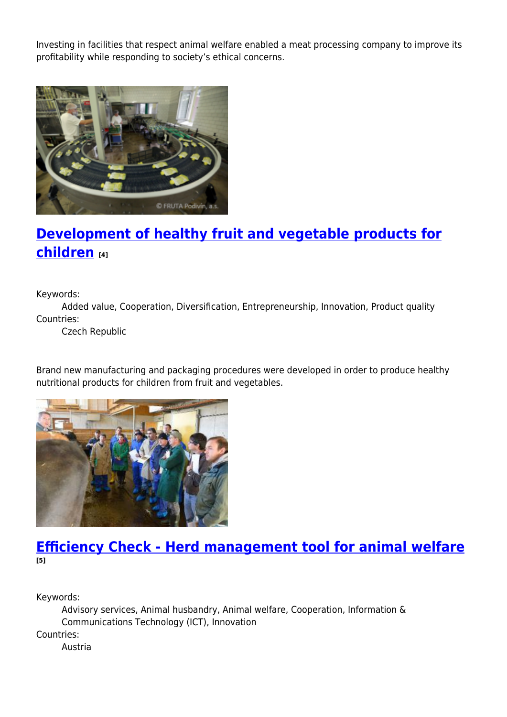Investing in facilities that respect animal welfare enabled a meat processing company to improve its profitability while responding to society's ethical concerns.



## **[Development of healthy fruit and vegetable products for](https://enrd.ec.europa.eu/projects-practice/development-healthy-fruit-and-vegetable-products-children_en) [children](https://enrd.ec.europa.eu/projects-practice/development-healthy-fruit-and-vegetable-products-children_en) [4]**

Keywords:

Added value, Cooperation, Diversification, Entrepreneurship, Innovation, Product quality Countries:

Czech Republic

Brand new manufacturing and packaging procedures were developed in order to produce healthy nutritional products for children from fruit and vegetables.



### **[Efficiency Check - Herd management tool for animal welfare](https://enrd.ec.europa.eu/projects-practice/efficiency-check-herd-management-tool-animal-welfare_en) [5]**

Keywords:

Advisory services, Animal husbandry, Animal welfare, Cooperation, Information & Communications Technology (ICT), Innovation Countries: Austria